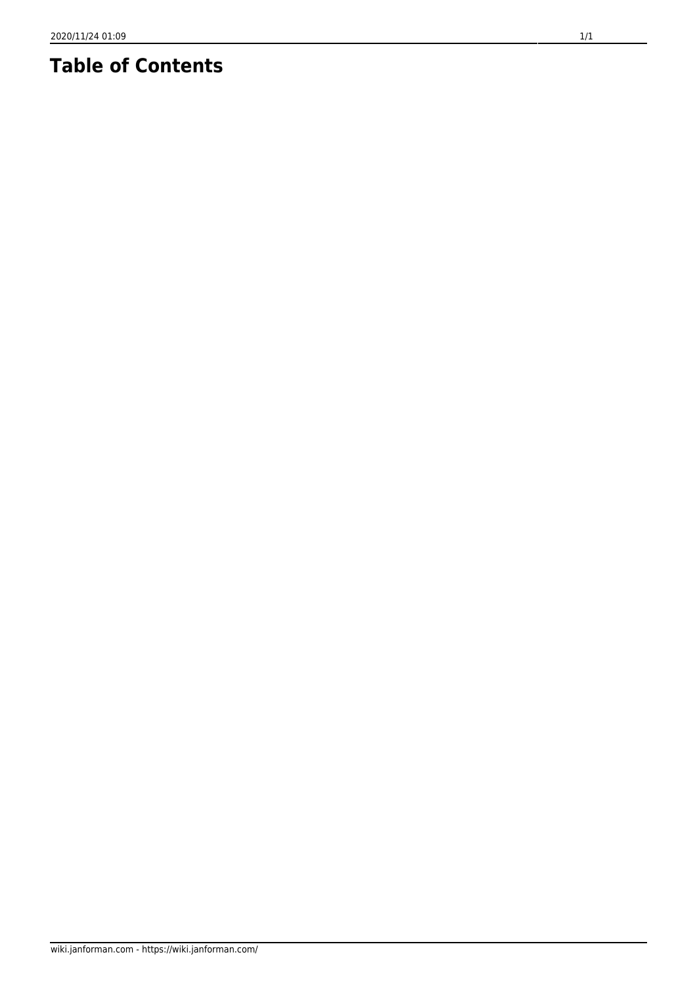## **Table of Contents**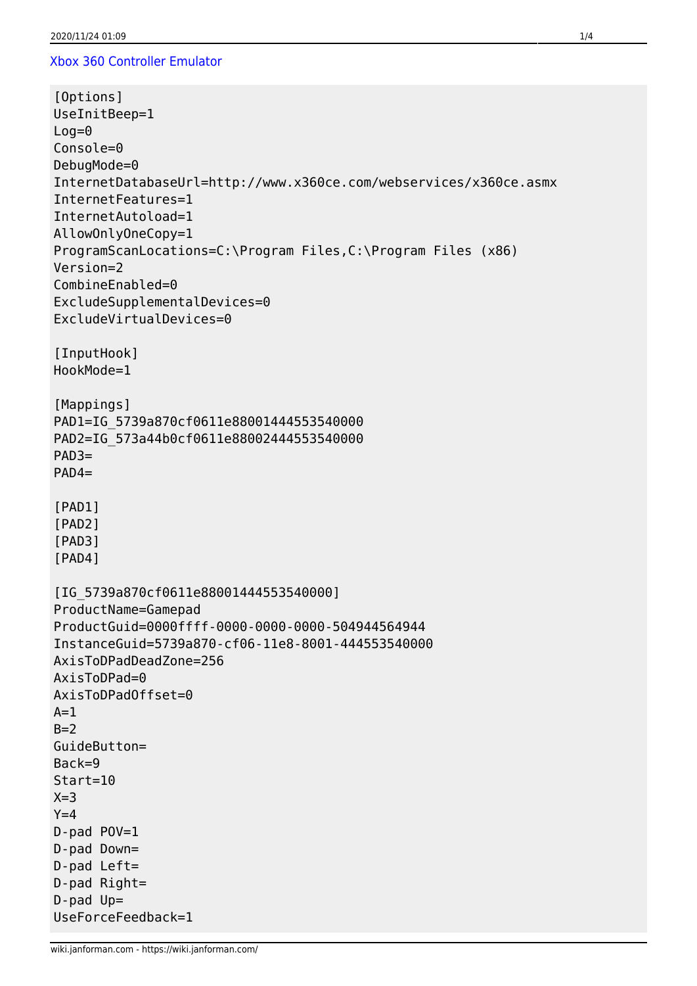## [Xbox 360 Controller Emulator](https://github.com/x360ce/x360ce)

```
[Options]
UseInitBeep=1
Log=0Console=0
DebugMode=0
InternetDatabaseUrl=http://www.x360ce.com/webservices/x360ce.asmx
InternetFeatures=1
InternetAutoload=1
AllowOnlyOneCopy=1
ProgramScanLocations=C:\Program Files,C:\Program Files (x86)
Version=2
CombineEnabled=0
ExcludeSupplementalDevices=0
ExcludeVirtualDevices=0
[InputHook]
HookMode=1
[Mappings]
PAD1=IG_5739a870cf0611e88001444553540000
PAD2=IG_573a44b0cf0611e88002444553540000
PAD3=
PAD4=
[PAD1]
[PAD2]
[PAD3]
[PAD4]
[IG_5739a870cf0611e88001444553540000]
ProductName=Gamepad
ProductGuid=0000ffff-0000-0000-0000-504944564944
InstanceGuid=5739a870-cf06-11e8-8001-444553540000
AxisToDPadDeadZone=256
AxisToDPad=0
AxisToDPadOffset=0
A=1B=2GuideButton=
Back=9
Start=10
X=3Y=4D-pad POV=1
D-pad Down=
D-pad Left=
D-pad Right=
D-pad Up=
UseForceFeedback=1
```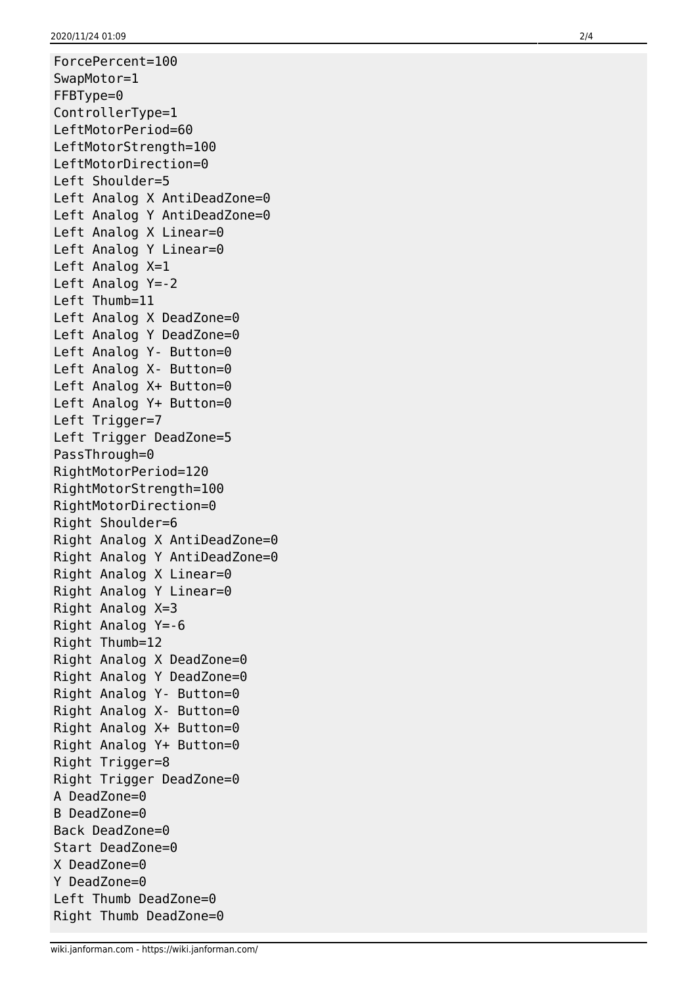ForcePercent=100 SwapMotor=1 FFBType=0 ControllerType=1 LeftMotorPeriod=60 LeftMotorStrength=100 LeftMotorDirection=0 Left Shoulder=5 Left Analog X AntiDeadZone=0 Left Analog Y AntiDeadZone=0 Left Analog X Linear=0 Left Analog Y Linear=0 Left Analog X=1 Left Analog Y=-2 Left Thumb=11 Left Analog X DeadZone=0 Left Analog Y DeadZone=0 Left Analog Y- Button=0 Left Analog X- Button=0 Left Analog X+ Button=0 Left Analog Y+ Button=0 Left Trigger=7 Left Trigger DeadZone=5 PassThrough=0 RightMotorPeriod=120 RightMotorStrength=100 RightMotorDirection=0 Right Shoulder=6 Right Analog X AntiDeadZone=0 Right Analog Y AntiDeadZone=0 Right Analog X Linear=0 Right Analog Y Linear=0 Right Analog X=3 Right Analog Y=-6 Right Thumb=12 Right Analog X DeadZone=0 Right Analog Y DeadZone=0 Right Analog Y- Button=0 Right Analog X- Button=0 Right Analog X+ Button=0 Right Analog Y+ Button=0 Right Trigger=8 Right Trigger DeadZone=0 A DeadZone=0 B DeadZone=0 Back DeadZone=0 Start DeadZone=0 X DeadZone=0 Y DeadZone=0 Left Thumb DeadZone=0 Right Thumb DeadZone=0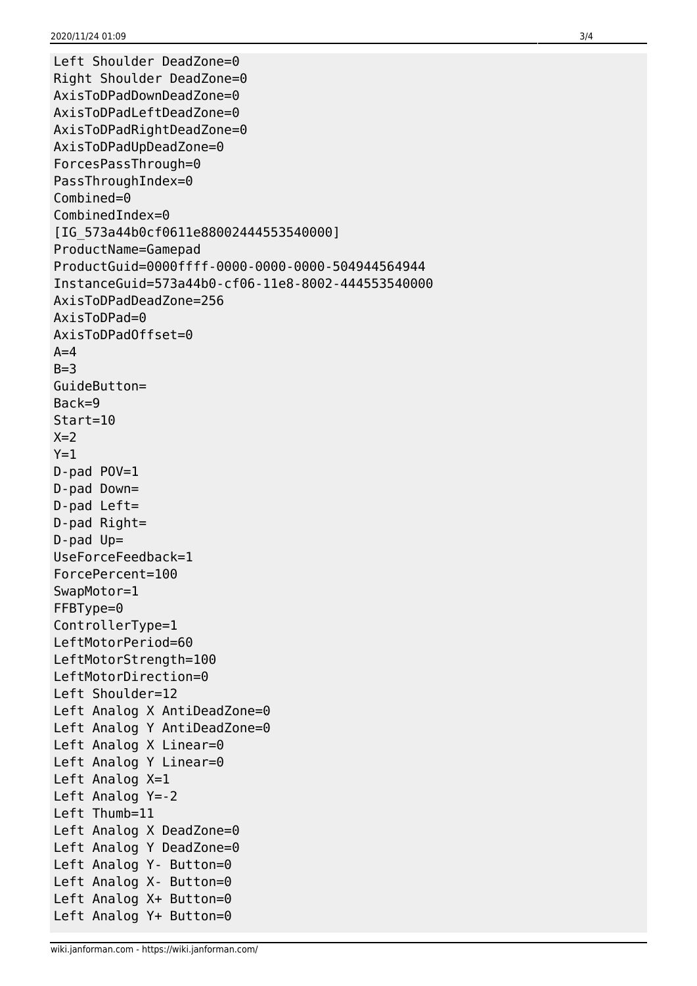```
Left Shoulder DeadZone=0
Right Shoulder DeadZone=0
AxisToDPadDownDeadZone=0
AxisToDPadLeftDeadZone=0
AxisToDPadRightDeadZone=0
AxisToDPadUpDeadZone=0
ForcesPassThrough=0
PassThroughIndex=0
Combined=0
CombinedIndex=0
[IG_573a44b0cf0611e88002444553540000]
ProductName=Gamepad
ProductGuid=0000ffff-0000-0000-0000-504944564944
InstanceGuid=573a44b0-cf06-11e8-8002-444553540000
AxisToDPadDeadZone=256
AxisToDPad=0
AxisToDPadOffset=0
A=4B=3GuideButton=
Back=9
Start=10
X=2Y=1D-pad POV=1
D-pad Down=
D-pad Left=
D-pad Right=
D-pad Up=
UseForceFeedback=1
ForcePercent=100
SwapMotor=1
FFBType=0
ControllerType=1
LeftMotorPeriod=60
LeftMotorStrength=100
LeftMotorDirection=0
Left Shoulder=12
Left Analog X AntiDeadZone=0
Left Analog Y AntiDeadZone=0
Left Analog X Linear=0
Left Analog Y Linear=0
Left Analog X=1
Left Analog Y=-2
Left Thumb=11
Left Analog X DeadZone=0
Left Analog Y DeadZone=0
Left Analog Y- Button=0
Left Analog X- Button=0
Left Analog X+ Button=0
Left Analog Y+ Button=0
```